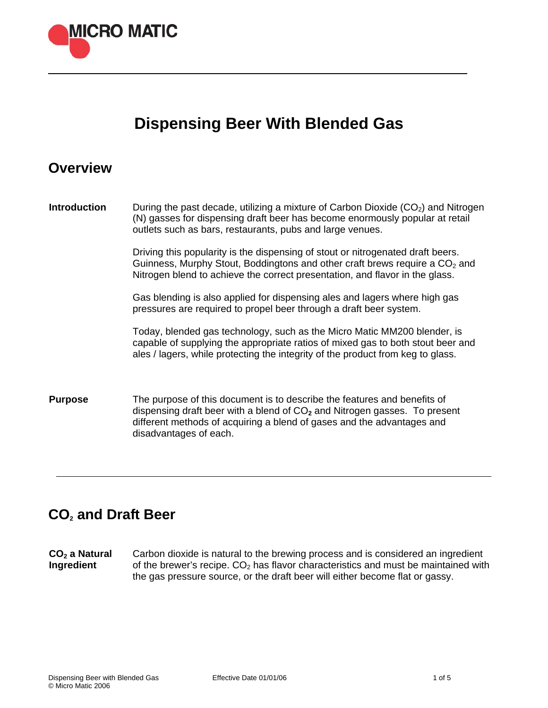

# **Dispensing Beer With Blended Gas**

### **Overview**

**Introduction** During the past decade, utilizing a mixture of Carbon Dioxide (CO<sub>2</sub>) and Nitrogen (N) gasses for dispensing draft beer has become enormously popular at retail outlets such as bars, restaurants, pubs and large venues.

> Driving this popularity is the dispensing of stout or nitrogenated draft beers. Guinness, Murphy Stout, Boddingtons and other craft brews require a  $CO<sub>2</sub>$  and Nitrogen blend to achieve the correct presentation, and flavor in the glass.

Gas blending is also applied for dispensing ales and lagers where high gas pressures are required to propel beer through a draft beer system.

Today, blended gas technology, such as the Micro Matic MM200 blender, is capable of supplying the appropriate ratios of mixed gas to both stout beer and ales / lagers, while protecting the integrity of the product from keg to glass.

**Purpose** The purpose of this document is to describe the features and benefits of dispensing draft beer with a blend of CO**2** and Nitrogen gasses. To present different methods of acquiring a blend of gases and the advantages and disadvantages of each.

## **CO2 and Draft Beer**

CO<sub>2</sub> a Natural **Ingredient**  Carbon dioxide is natural to the brewing process and is considered an ingredient of the brewer's recipe.  $CO<sub>2</sub>$  has flavor characteristics and must be maintained with the gas pressure source, or the draft beer will either become flat or gassy.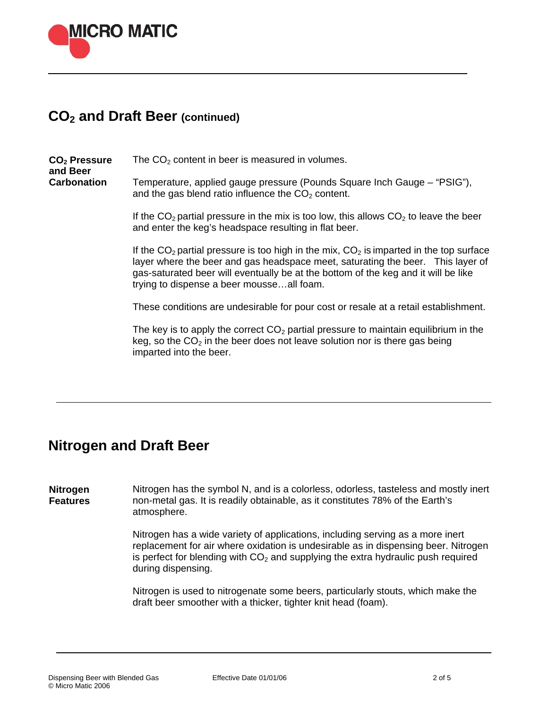

### **CO2 and Draft Beer (continued)**

CO<sub>2</sub> Pressure **and Beer Carbonation**  The  $CO<sub>2</sub>$  content in beer is measured in volumes. Temperature, applied gauge pressure (Pounds Square Inch Gauge – "PSIG"), and the gas blend ratio influence the  $CO<sub>2</sub>$  content.

> If the  $CO<sub>2</sub>$  partial pressure in the mix is too low, this allows  $CO<sub>2</sub>$  to leave the beer and enter the keg's headspace resulting in flat beer.

If the  $CO<sub>2</sub>$  partial pressure is too high in the mix,  $CO<sub>2</sub>$  is imparted in the top surface layer where the beer and gas headspace meet, saturating the beer. This layer of gas-saturated beer will eventually be at the bottom of the keg and it will be like trying to dispense a beer mousse…all foam.

These conditions are undesirable for pour cost or resale at a retail establishment.

The key is to apply the correct  $CO<sub>2</sub>$  partial pressure to maintain equilibrium in the keg, so the  $CO<sub>2</sub>$  in the beer does not leave solution nor is there gas being imparted into the beer.

#### **Nitrogen and Draft Beer**

**Nitrogen Features**  Nitrogen has the symbol N, and is a colorless, odorless, tasteless and mostly inert non-metal gas. It is readily obtainable, as it constitutes 78% of the Earth's atmosphere.

> Nitrogen has a wide variety of applications, including serving as a more inert replacement for air where oxidation is undesirable as in dispensing beer. Nitrogen is perfect for blending with  $CO<sub>2</sub>$  and supplying the extra hydraulic push required during dispensing.

Nitrogen is used to nitrogenate some beers, particularly stouts, which make the draft beer smoother with a thicker, tighter knit head (foam).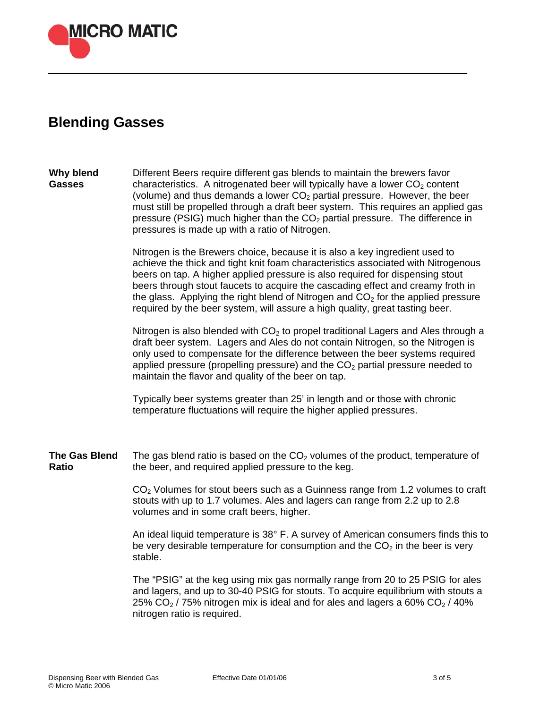

# **Blending Gasses**

#### **Why blend Gasses**  Different Beers require different gas blends to maintain the brewers favor characteristics. A nitrogenated beer will typically have a lower  $CO<sub>2</sub>$  content (volume) and thus demands a lower  $CO<sub>2</sub>$  partial pressure. However, the beer must still be propelled through a draft beer system. This requires an applied gas pressure (PSIG) much higher than the  $CO<sub>2</sub>$  partial pressure. The difference in pressures is made up with a ratio of Nitrogen.

Nitrogen is the Brewers choice, because it is also a key ingredient used to achieve the thick and tight knit foam characteristics associated with Nitrogenous beers on tap. A higher applied pressure is also required for dispensing stout beers through stout faucets to acquire the cascading effect and creamy froth in the glass. Applying the right blend of Nitrogen and  $CO<sub>2</sub>$  for the applied pressure required by the beer system, will assure a high quality, great tasting beer.

Nitrogen is also blended with  $CO<sub>2</sub>$  to propel traditional Lagers and Ales through a draft beer system. Lagers and Ales do not contain Nitrogen, so the Nitrogen is only used to compensate for the difference between the beer systems required applied pressure (propelling pressure) and the  $CO<sub>2</sub>$  partial pressure needed to maintain the flavor and quality of the beer on tap.

Typically beer systems greater than 25' in length and or those with chronic temperature fluctuations will require the higher applied pressures.

**The Gas Blend Ratio**  The gas blend ratio is based on the  $CO<sub>2</sub>$  volumes of the product, temperature of the beer, and required applied pressure to the keg.

> $CO<sub>2</sub>$  Volumes for stout beers such as a Guinness range from 1.2 volumes to craft stouts with up to 1.7 volumes. Ales and lagers can range from 2.2 up to 2.8 volumes and in some craft beers, higher.

> An ideal liquid temperature is 38° F. A survey of American consumers finds this to be very desirable temperature for consumption and the  $CO<sub>2</sub>$  in the beer is very stable.

The "PSIG" at the keg using mix gas normally range from 20 to 25 PSIG for ales and lagers, and up to 30-40 PSIG for stouts. To acquire equilibrium with stouts a 25%  $CO<sub>2</sub>$  / 75% nitrogen mix is ideal and for ales and lagers a 60%  $CO<sub>2</sub>$  / 40% nitrogen ratio is required.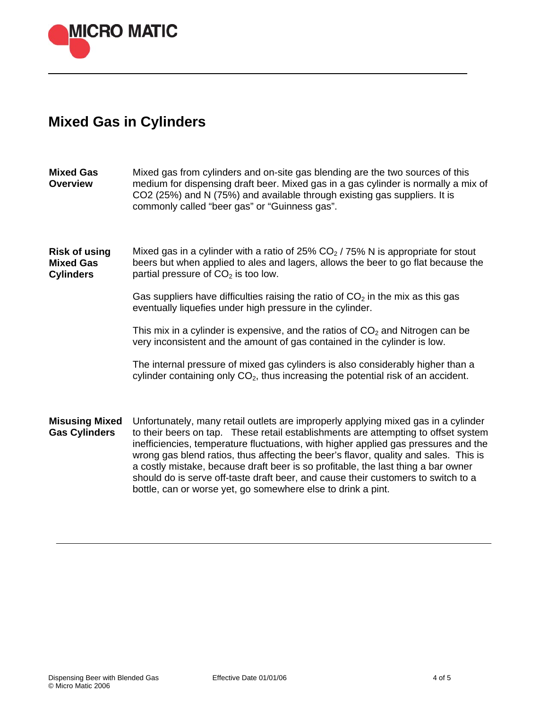

# **Mixed Gas in Cylinders**

| <b>Mixed Gas</b><br><b>Overview</b>                          | Mixed gas from cylinders and on-site gas blending are the two sources of this<br>medium for dispensing draft beer. Mixed gas in a gas cylinder is normally a mix of<br>CO2 (25%) and N (75%) and available through existing gas suppliers. It is<br>commonly called "beer gas" or "Guinness gas".                                                                                                                                                                                                                                                                                                 |
|--------------------------------------------------------------|---------------------------------------------------------------------------------------------------------------------------------------------------------------------------------------------------------------------------------------------------------------------------------------------------------------------------------------------------------------------------------------------------------------------------------------------------------------------------------------------------------------------------------------------------------------------------------------------------|
| <b>Risk of using</b><br><b>Mixed Gas</b><br><b>Cylinders</b> | Mixed gas in a cylinder with a ratio of 25% $CO2$ / 75% N is appropriate for stout<br>beers but when applied to ales and lagers, allows the beer to go flat because the<br>partial pressure of $CO2$ is too low.                                                                                                                                                                                                                                                                                                                                                                                  |
|                                                              | Gas suppliers have difficulties raising the ratio of $CO2$ in the mix as this gas<br>eventually liquefies under high pressure in the cylinder.                                                                                                                                                                                                                                                                                                                                                                                                                                                    |
|                                                              | This mix in a cylinder is expensive, and the ratios of $CO2$ and Nitrogen can be<br>very inconsistent and the amount of gas contained in the cylinder is low.                                                                                                                                                                                                                                                                                                                                                                                                                                     |
|                                                              | The internal pressure of mixed gas cylinders is also considerably higher than a<br>cylinder containing only $CO2$ , thus increasing the potential risk of an accident.                                                                                                                                                                                                                                                                                                                                                                                                                            |
| <b>Misusing Mixed</b><br><b>Gas Cylinders</b>                | Unfortunately, many retail outlets are improperly applying mixed gas in a cylinder<br>to their beers on tap. These retail establishments are attempting to offset system<br>inefficiencies, temperature fluctuations, with higher applied gas pressures and the<br>wrong gas blend ratios, thus affecting the beer's flavor, quality and sales. This is<br>a costly mistake, because draft beer is so profitable, the last thing a bar owner<br>should do is serve off-taste draft beer, and cause their customers to switch to a<br>bottle, can or worse yet, go somewhere else to drink a pint. |